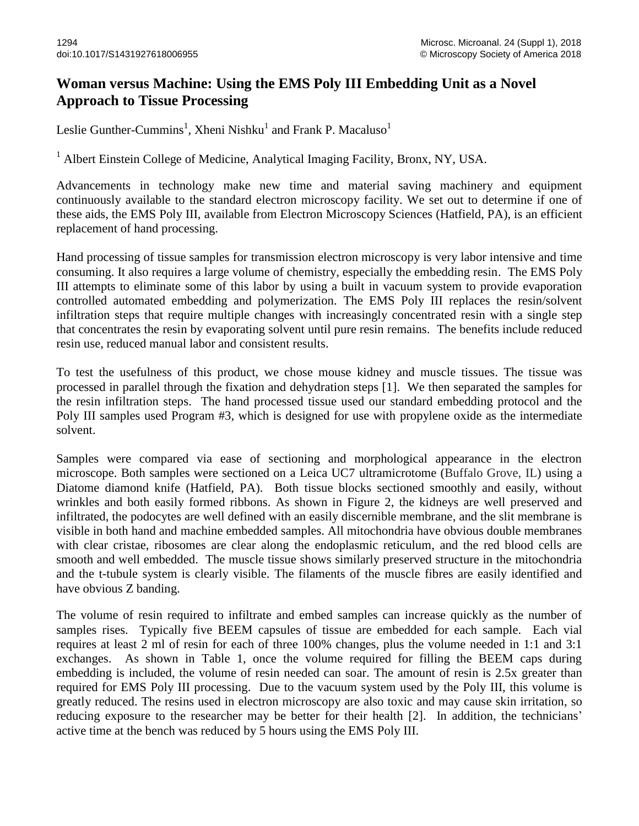## **Woman versus Machine: Using the EMS Poly III Embedding Unit as a Novel Approach to Tissue Processing**

Leslie Gunther-Cummins<sup>1</sup>, Xheni Nishku<sup>1</sup> and Frank P. Macaluso<sup>1</sup>

<sup>1</sup> Albert Einstein College of Medicine, Analytical Imaging Facility, Bronx, NY, USA.

Advancements in technology make new time and material saving machinery and equipment continuously available to the standard electron microscopy facility. We set out to determine if one of these aids, the EMS Poly III, available from Electron Microscopy Sciences (Hatfield, PA), is an efficient replacement of hand processing.

Hand processing of tissue samples for transmission electron microscopy is very labor intensive and time consuming. It also requires a large volume of chemistry, especially the embedding resin. The EMS Poly III attempts to eliminate some of this labor by using a built in vacuum system to provide evaporation controlled automated embedding and polymerization. The EMS Poly III replaces the resin/solvent infiltration steps that require multiple changes with increasingly concentrated resin with a single step that concentrates the resin by evaporating solvent until pure resin remains. The benefits include reduced resin use, reduced manual labor and consistent results.

To test the usefulness of this product, we chose mouse kidney and muscle tissues. The tissue was processed in parallel through the fixation and dehydration steps [1]. We then separated the samples for the resin infiltration steps. The hand processed tissue used our standard embedding protocol and the Poly III samples used Program #3, which is designed for use with propylene oxide as the intermediate solvent.

Samples were compared via ease of sectioning and morphological appearance in the electron microscope. Both samples were sectioned on a Leica UC7 ultramicrotome (Buffalo Grove, IL) using a Diatome diamond knife (Hatfield, PA). Both tissue blocks sectioned smoothly and easily, without wrinkles and both easily formed ribbons. As shown in Figure 2, the kidneys are well preserved and infiltrated, the podocytes are well defined with an easily discernible membrane, and the slit membrane is visible in both hand and machine embedded samples. All mitochondria have obvious double membranes with clear cristae, ribosomes are clear along the endoplasmic reticulum, and the red blood cells are smooth and well embedded. The muscle tissue shows similarly preserved structure in the mitochondria and the t-tubule system is clearly visible. The filaments of the muscle fibres are easily identified and have obvious Z banding.

The volume of resin required to infiltrate and embed samples can increase quickly as the number of samples rises. Typically five BEEM capsules of tissue are embedded for each sample. Each vial requires at least 2 ml of resin for each of three 100% changes, plus the volume needed in 1:1 and 3:1 exchanges. As shown in Table 1, once the volume required for filling the BEEM caps during embedding is included, the volume of resin needed can soar. The amount of resin is 2.5x greater than required for EMS Poly III processing. Due to the vacuum system used by the Poly III, this volume is greatly reduced. The resins used in electron microscopy are also toxic and may cause skin irritation, so reducing exposure to the researcher may be better for their health [2]. In addition, the technicians' active time at the bench was reduced by 5 hours using the EMS Poly III.